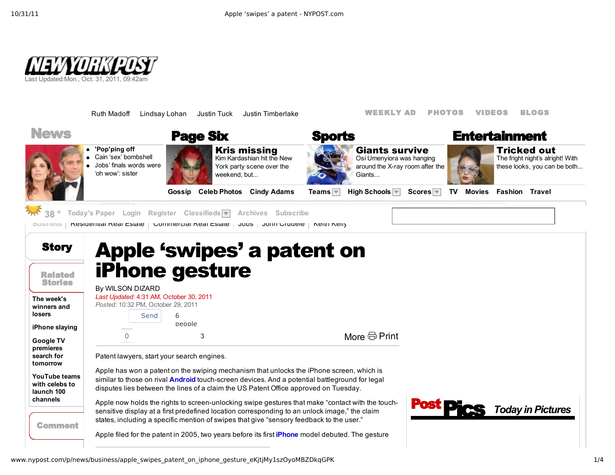